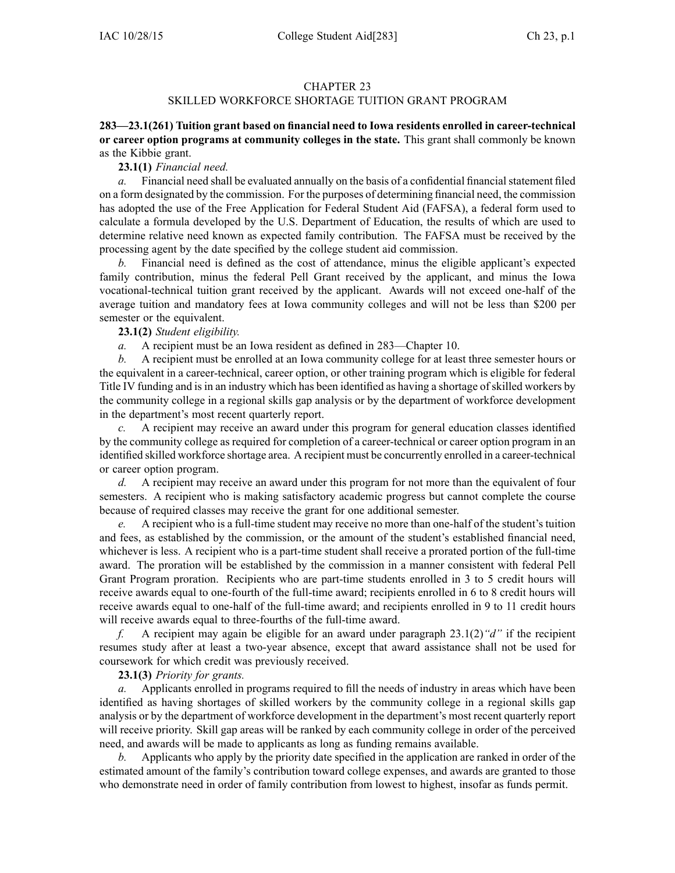## CHAPTER 23

## SKILLED WORKFORCE SHORTAGE TUITION GRANT PROGRAM

**283—23.1(261) Tuition grant based on financial need to Iowa residents enrolled in career-technical or career option programs at community colleges in the state.** This gran<sup>t</sup> shall commonly be known as the Kibbie grant.

## **23.1(1)** *Financial need.*

*a.* Financial need shall be evaluated annually on the basis of a confidential financial statement filed on <sup>a</sup> form designated by the commission. For the purposes of determining financial need, the commission has adopted the use of the Free Application for Federal Student Aid (FAFSA), <sup>a</sup> federal form used to calculate <sup>a</sup> formula developed by the U.S. Department of Education, the results of which are used to determine relative need known as expected family contribution. The FAFSA must be received by the processing agen<sup>t</sup> by the date specified by the college student aid commission.

*b.* Financial need is defined as the cost of attendance, minus the eligible applicant's expected family contribution, minus the federal Pell Grant received by the applicant, and minus the Iowa vocational-technical tuition gran<sup>t</sup> received by the applicant. Awards will not exceed one-half of the average tuition and mandatory fees at Iowa community colleges and will not be less than \$200 per semester or the equivalent.

**23.1(2)** *Student eligibility.*

*a.* A recipient must be an Iowa resident as defined in 283—Chapter 10.

*b.* A recipient must be enrolled at an Iowa community college for at least three semester hours or the equivalent in <sup>a</sup> career-technical, career option, or other training program which is eligible for federal Title IV funding and is in an industry which has been identified as having a shortage of skilled workers by the community college in <sup>a</sup> regional skills gap analysis or by the department of workforce development in the department's most recent quarterly report.

*c.* A recipient may receive an award under this program for general education classes identified by the community college as required for completion of <sup>a</sup> career-technical or career option program in an identified skilled workforce shortage area. A recipient must be concurrently enrolled in <sup>a</sup> career-technical or career option program.

*d.* A recipient may receive an award under this program for not more than the equivalent of four semesters. A recipient who is making satisfactory academic progress but cannot complete the course because of required classes may receive the gran<sup>t</sup> for one additional semester.

*e.* A recipient who is <sup>a</sup> full-time student may receive no more than one-half of the student's tuition and fees, as established by the commission, or the amount of the student's established financial need, whichever is less. A recipient who is <sup>a</sup> part-time student shall receive <sup>a</sup> prorated portion of the full-time award. The proration will be established by the commission in <sup>a</sup> manner consistent with federal Pell Grant Program proration. Recipients who are part-time students enrolled in 3 to 5 credit hours will receive awards equal to one-fourth of the full-time award; recipients enrolled in 6 to 8 credit hours will receive awards equal to one-half of the full-time award; and recipients enrolled in 9 to 11 credit hours will receive awards equal to three-fourths of the full-time award.

*f.* A recipient may again be eligible for an award under paragraph 23.1(2)*"d"* if the recipient resumes study after at least <sup>a</sup> two-year absence, excep<sup>t</sup> that award assistance shall not be used for coursework for which credit was previously received.

## **23.1(3)** *Priority for grants.*

*a.* Applicants enrolled in programs required to fill the needs of industry in areas which have been identified as having shortages of skilled workers by the community college in <sup>a</sup> regional skills gap analysis or by the department of workforce development in the department's most recent quarterly repor<sup>t</sup> will receive priority. Skill gap areas will be ranked by each community college in order of the perceived need, and awards will be made to applicants as long as funding remains available.

*b.* Applicants who apply by the priority date specified in the application are ranked in order of the estimated amount of the family's contribution toward college expenses, and awards are granted to those who demonstrate need in order of family contribution from lowest to highest, insofar as funds permit.